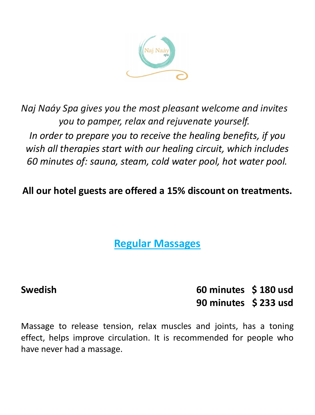

*Naj Naáy Spa gives you the most pleasant welcome and invites you to pamper, relax and rejuvenate yourself. In order to prepare you to receive the healing benefits, if you wish all therapies start with our healing circuit, which includes 60 minutes of: sauna, steam, cold water pool, hot water pool.*

**All our hotel guests are offered a 15% discount on treatments.**

**Regular Massages**

**Swedish****60 minutes \$ 180 usd 90 minutes \$ 233 usd**

Massage to release tension, relax muscles and joints, has a toning effect, helps improve circulation. It is recommended for people who have never had a massage.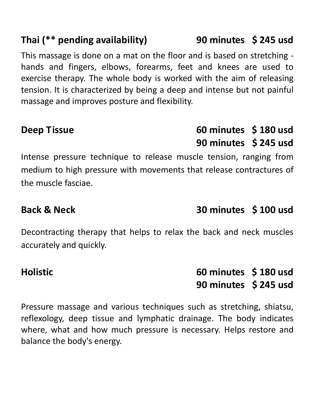# **Thai (\*\* pending availability) 90 minutes \$ 245 usd**

This massage is done on a mat on the floor and is based on stretching hands and fingers, elbows, forearms, feet and knees are used to exercise therapy. The whole body is worked with the aim of releasing tension. It is characterized by being a deep and intense but not painful massage and improves posture and flexibility.

**Deep Tissue****60 minutes \$ 180 usd 90 minutes \$ 245 usd**

Intense pressure technique to release muscle tension, ranging from medium to high pressure with movements that release contractures of the muscle fasciae.

Decontracting therapy that helps to relax the back and neck muscles accurately and quickly.

**Holistic 60 minutes \$ 180 usd 90 minutes \$ 245 usd**

Pressure massage and various techniques such as stretching, shiatsu, reflexology, deep tissue and lymphatic drainage. The body indicates where, what and how much pressure is necessary. Helps restore and balance the body's energy.

# **Back & Neck 30 minutes \$ 100 usd**